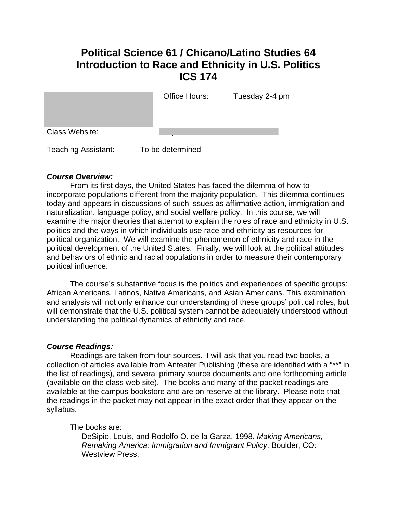# **Political Science 61 / Chicano/Latino Studies 64 Introduction to Race and Ethnicity in U.S. Politics ICS 174**

|                | Office Hours: | Tuesday 2-4 pm |
|----------------|---------------|----------------|
| Class Website: |               |                |

Teaching Assistant: To be determined

### *Course Overview:*

 From its first days, the United States has faced the dilemma of how to incorporate populations different from the majority population. This dilemma continues today and appears in discussions of such issues as affirmative action, immigration and naturalization, language policy, and social welfare policy. In this course, we will examine the major theories that attempt to explain the roles of race and ethnicity in U.S. politics and the ways in which individuals use race and ethnicity as resources for political organization. We will examine the phenomenon of ethnicity and race in the political development of the United States. Finally, we will look at the political attitudes and behaviors of ethnic and racial populations in order to measure their contemporary political influence.

The course's substantive focus is the politics and experiences of specific groups: African Americans, Latinos, Native Americans, and Asian Americans. This examination and analysis will not only enhance our understanding of these groups' political roles, but will demonstrate that the U.S. political system cannot be adequately understood without understanding the political dynamics of ethnicity and race.

### *Course Readings:*

 Readings are taken from four sources. I will ask that you read two books, a collection of articles available from Anteater Publishing (these are identified with a "\*\*" in the list of readings), and several primary source documents and one forthcoming article (available on the class web site). The books and many of the packet readings are available at the campus bookstore and are on reserve at the library. Please note that the readings in the packet may not appear in the exact order that they appear on the syllabus.

The books are:

DeSipio, Louis, and Rodolfo O. de la Garza. 1998. *Making Americans, Remaking America: Immigration and Immigrant Policy*. Boulder, CO: Westview Press.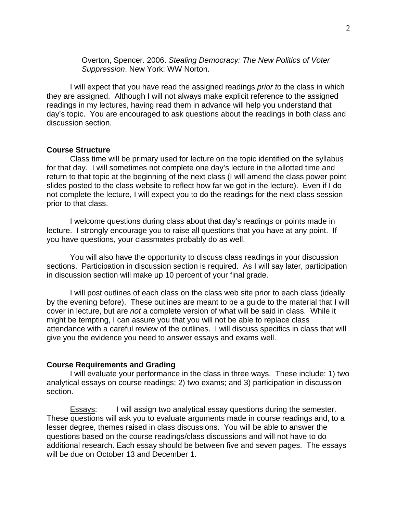Overton, Spencer. 2006. *Stealing Democracy: The New Politics of Voter Suppression*. New York: WW Norton.

 I will expect that you have read the assigned readings *prior to* the class in which they are assigned. Although I will not always make explicit reference to the assigned readings in my lectures, having read them in advance will help you understand that day's topic. You are encouraged to ask questions about the readings in both class and discussion section.

#### **Course Structure**

 Class time will be primary used for lecture on the topic identified on the syllabus for that day. I will sometimes not complete one day's lecture in the allotted time and return to that topic at the beginning of the next class (I will amend the class power point slides posted to the class website to reflect how far we got in the lecture). Even if I do not complete the lecture, I will expect you to do the readings for the next class session prior to that class.

I welcome questions during class about that day's readings or points made in lecture. I strongly encourage you to raise all questions that you have at any point. If you have questions, your classmates probably do as well.

You will also have the opportunity to discuss class readings in your discussion sections. Participation in discussion section is required. As I will say later, participation in discussion section will make up 10 percent of your final grade.

 I will post outlines of each class on the class web site prior to each class (ideally by the evening before). These outlines are meant to be a guide to the material that I will cover in lecture, but are *not* a complete version of what will be said in class. While it might be tempting, I can assure you that you will not be able to replace class attendance with a careful review of the outlines. I will discuss specifics in class that will give you the evidence you need to answer essays and exams well.

#### **Course Requirements and Grading**

 I will evaluate your performance in the class in three ways. These include: 1) two analytical essays on course readings; 2) two exams; and 3) participation in discussion section.

**Essays:** I will assign two analytical essay questions during the semester. These questions will ask you to evaluate arguments made in course readings and, to a lesser degree, themes raised in class discussions. You will be able to answer the questions based on the course readings/class discussions and will not have to do additional research. Each essay should be between five and seven pages. The essays will be due on October 13 and December 1.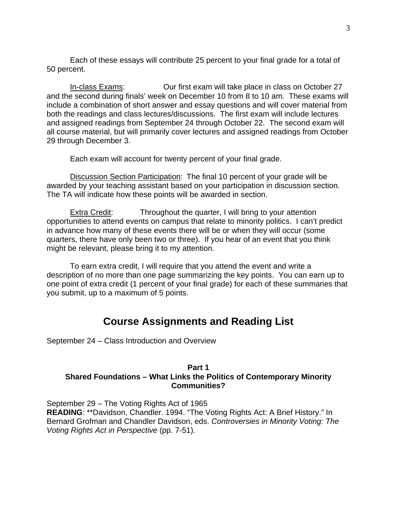Each of these essays will contribute 25 percent to your final grade for a total of 50 percent.

In-class Exams: Our first exam will take place in class on October 27 and the second during finals' week on December 10 from 8 to 10 am. These exams will include a combination of short answer and essay questions and will cover material from both the readings and class lectures/discussions. The first exam will include lectures and assigned readings from September 24 through October 22. The second exam will all course material, but will primarily cover lectures and assigned readings from October 29 through December 3.

Each exam will account for twenty percent of your final grade.

Discussion Section Participation: The final 10 percent of your grade will be awarded by your teaching assistant based on your participation in discussion section. The TA will indicate how these points will be awarded in section.

Extra Credit: Throughout the quarter, I will bring to your attention opportunities to attend events on campus that relate to minority politics. I can't predict in advance how many of these events there will be or when they will occur (some quarters, there have only been two or three). If you hear of an event that you think might be relevant, please bring it to my attention.

To earn extra credit, I will require that you attend the event and write a description of no more than one page summarizing the key points. You can earn up to one point of extra credit (1 percent of your final grade) for each of these summaries that you submit, up to a maximum of 5 points.

# **Course Assignments and Reading List**

September 24 – Class Introduction and Overview

## **Part 1 Shared Foundations – What Links the Politics of Contemporary Minority Communities?**

September 29 – The Voting Rights Act of 1965 **READING**: \*\*Davidson, Chandler. 1994. "The Voting Rights Act: A Brief History." In Bernard Grofman and Chandler Davidson, eds. *Controversies in Minority Voting: The Voting Rights Act in Perspective* (pp. 7-51).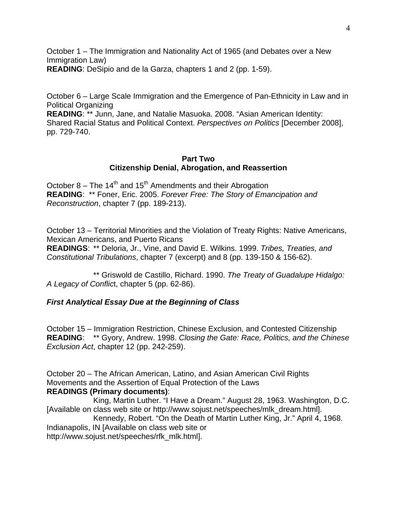October 1 – The Immigration and Nationality Act of 1965 (and Debates over a New Immigration Law)

4

**READING**: DeSipio and de la Garza, chapters 1 and 2 (pp. 1-59).

October 6 – Large Scale Immigration and the Emergence of Pan-Ethnicity in Law and in Political Organizing

**READING**: \*\* Junn, Jane, and Natalie Masuoka. 2008. "Asian American Identity: Shared Racial Status and Political Context. *Perspectives on Politics* [December 2008], pp. 729-740.

#### **Part Two Citizenship Denial, Abrogation, and Reassertion**

October 8 – The  $14<sup>th</sup>$  and  $15<sup>th</sup>$  Amendments and their Abrogation **READING**: \*\* Foner, Eric. 2005. *Forever Free: The Story of Emancipation and Reconstruction*, chapter 7 (pp. 189-213).

October 13 – Territorial Minorities and the Violation of Treaty Rights: Native Americans, Mexican Americans, and Puerto Ricans **READINGS**: \*\* Deloria, Jr., Vine, and David E. Wilkins. 1999. *Tribes, Treaties, and Constitutional Tribulations*, chapter 7 (excerpt) and 8 (pp. 139-150 & 156-62).

 \*\* Griswold de Castillo, Richard. 1990. *The Treaty of Guadalupe Hidalgo: A Legacy of Conflic*t, chapter 5 (pp. 62-86).

### *First Analytical Essay Due at the Beginning of Class*

October 15 – Immigration Restriction, Chinese Exclusion, and Contested Citizenship **READING**: \*\* Gyory, Andrew. 1998. *Closing the Gate: Race, Politics, and the Chinese Exclusion Act*, chapter 12 (pp. 242-259).

October 20 – The African American, Latino, and Asian American Civil Rights Movements and the Assertion of Equal Protection of the Laws **READINGS (Primary documents)**:

King, Martin Luther. "I Have a Dream." August 28, 1963. Washington, D.C. [Available on class web site or http://www.sojust.net/speeches/mlk\_dream.html].

 Kennedy, Robert. "On the Death of Martin Luther King, Jr." April 4, 1968. Indianapolis, IN [Available on class web site or http://www.sojust.net/speeches/rfk\_mlk.html].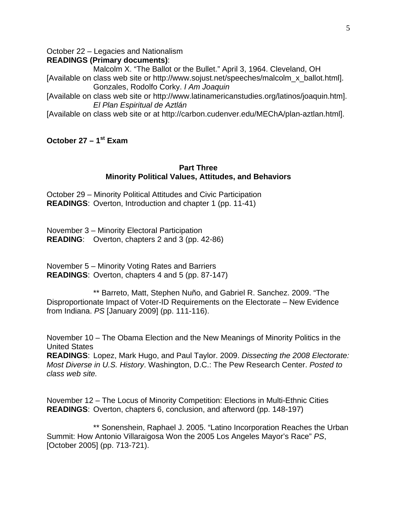October 22 – Legacies and Nationalism

### **READINGS (Primary documents)**:

 Malcolm X. "The Ballot or the Bullet." April 3, 1964. Cleveland, OH [Available on class web site or http://www.sojust.net/speeches/malcolm\_x\_ballot.html]. Gonzales, Rodolfo Corky. *I Am Joaquin*

[Available on class web site or http://www.latinamericanstudies.org/latinos/joaquin.htm]. *El Plan Espiritual de Aztlán* 

[Available on class web site or at http://carbon.cudenver.edu/MEChA/plan-aztlan.html].

# **October 27 – 1st Exam**

#### **Part Three Minority Political Values, Attitudes, and Behaviors**

October 29 – Minority Political Attitudes and Civic Participation **READINGS**: Overton, Introduction and chapter 1 (pp. 11-41)

November 3 – Minority Electoral Participation **READING**: Overton, chapters 2 and 3 (pp. 42-86)

November 5 – Minority Voting Rates and Barriers **READINGS**: Overton, chapters 4 and 5 (pp. 87-147)

 \*\* Barreto, Matt, Stephen Nuño, and Gabriel R. Sanchez. 2009. "The Disproportionate Impact of Voter-ID Requirements on the Electorate – New Evidence from Indiana. *PS* [January 2009] (pp. 111-116).

November 10 – The Obama Election and the New Meanings of Minority Politics in the United States

**READINGS**: Lopez, Mark Hugo, and Paul Taylor. 2009. *Dissecting the 2008 Electorate: Most Diverse in U.S. History*. Washington, D.C.: The Pew Research Center. *Posted to class web site.*

November 12 – The Locus of Minority Competition: Elections in Multi-Ethnic Cities **READINGS**: Overton, chapters 6, conclusion, and afterword (pp. 148-197)

\*\* Sonenshein, Raphael J. 2005. "Latino Incorporation Reaches the Urban Summit: How Antonio Villaraigosa Won the 2005 Los Angeles Mayor's Race" *PS*, [October 2005] (pp. 713-721).